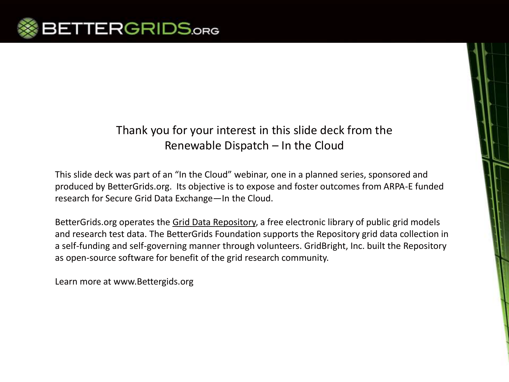

#### Thank you for your interest in this slide deck from the Renewable Dispatch – In the Cloud

This slide deck was part of an "In the Cloud" webinar, one in a planned series, sponsored and produced by BetterGrids.org. Its objective is to expose and foster outcomes from ARPA-E funded research for Secure Grid Data Exchange—In the Cloud.

BetterGrids.org operates the Grid Data Repository, a free electronic library of public grid models and research test data. The BetterGrids Foundation supports the Repository grid data collection in a self-funding and self-governing manner through volunteers. GridBright, Inc. built the Repository as open-source software for benefit of the grid research community.

Learn more at www.Bettergids.org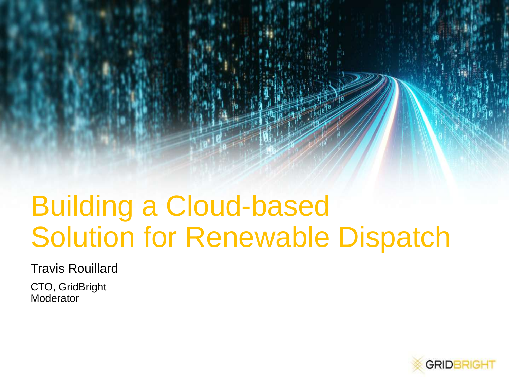## Building a Cloud-based Solution for Renewable Dispatch

Travis Rouillard

CTO, GridBright **Moderator** 

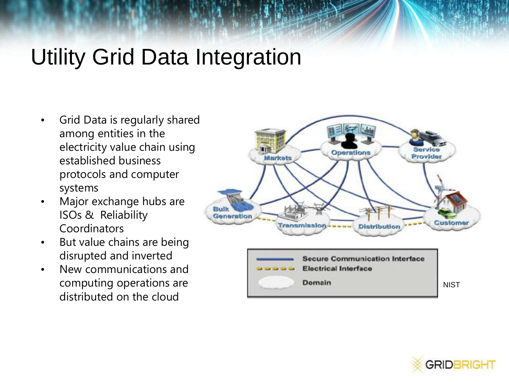## Utility Grid Data Integration

- Grid Data is regularly shared among entities in the electricity value chain using established business protocols and computer systems
- Major exchange hubs are ISOs & Reliability Coordinators
- But value chains are being disrupted and inverted
- New communications and computing operations are distributed on the cloud



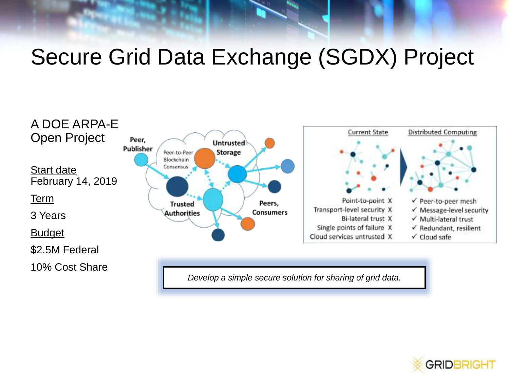## Secure Grid Data Exchange (SGDX) Project



*Develop a simple secure solution for sharing of grid data.*

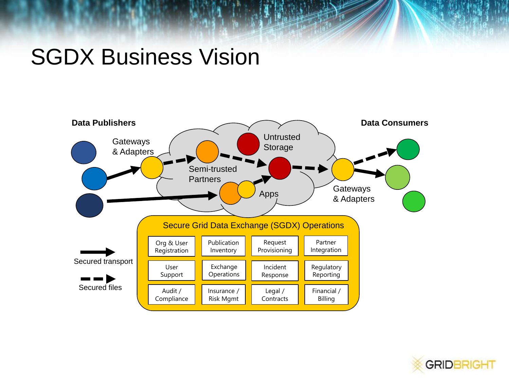## SGDX Business Vision



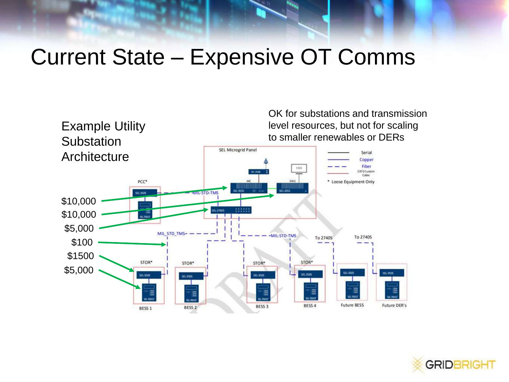## Current State – Expensive OT Comms



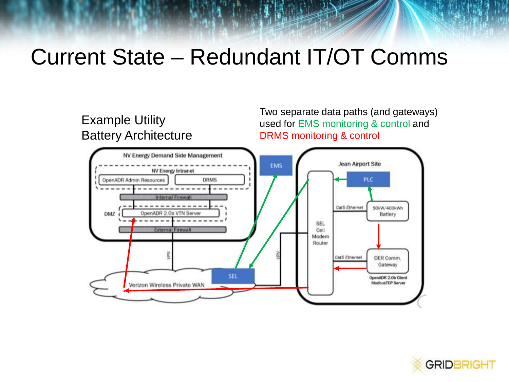## Current State – Redundant IT/OT Comms

#### Example Utility Battery Architecture

Two separate data paths (and gateways) used for EMS monitoring & control and DRMS monitoring & control



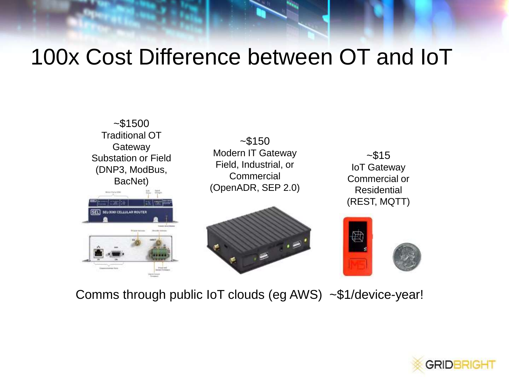## 100x Cost Difference between OT and IoT



Comms through public IoT clouds (eg AWS) ~\$1/device-year!

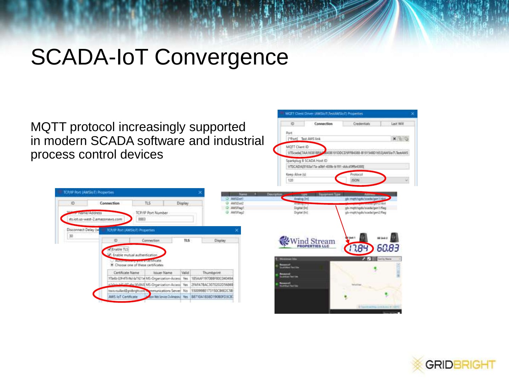## SCADA-IoT Convergence

MQTT protocol increasingly supported in modern SCADA software and industrial process control devices

| ID.<br>TLS:<br>Connection<br>Display<br>AW!(Den)<br>Artistog per<br>AWSF bas!<br>Digital (In)<br><b>AWSFINGT</b><br>Digital (M)<br>TCP/IP Port Number<br><b><i>Comme/Address</i></b><br>8883<br>rts.iot.va-west-2.amazonaws.com<br>Disconnect Delay (se<br><b>JUF/IP Rod (AWSIGE) Properties</b><br>脚<br>Wind Stream<br>ID<br>Connection<br>T15<br>Display.<br>√ Enable TLS<br>- Enable mutual authentication<br><b>Western Time</b> | <b>Communication of the Communication</b><br>isb-motthsportscaphigan1/flag<br>gb-mgh/sgdv/scada/gen2/flag<br>68 Well # 1 |
|--------------------------------------------------------------------------------------------------------------------------------------------------------------------------------------------------------------------------------------------------------------------------------------------------------------------------------------------------------------------------------------------------------------------------------------|--------------------------------------------------------------------------------------------------------------------------|
|                                                                                                                                                                                                                                                                                                                                                                                                                                      |                                                                                                                          |
|                                                                                                                                                                                                                                                                                                                                                                                                                                      |                                                                                                                          |
|                                                                                                                                                                                                                                                                                                                                                                                                                                      |                                                                                                                          |
|                                                                                                                                                                                                                                                                                                                                                                                                                                      |                                                                                                                          |
|                                                                                                                                                                                                                                                                                                                                                                                                                                      | 17.84<br>60.83                                                                                                           |
|                                                                                                                                                                                                                                                                                                                                                                                                                                      | <b>All Property State</b>                                                                                                |
| <b>COMMISSIONS</b><br>Choose one of these certificates<br><b><i><u><u>Romanolf</u></u></i></b><br>Sunt Meet Text City                                                                                                                                                                                                                                                                                                                |                                                                                                                          |
| Valid<br>Certificate Name<br>Thursbprint<br>Issuer Name<br><b>Researced</b>                                                                                                                                                                                                                                                                                                                                                          |                                                                                                                          |
| <b>AuditEd Del Date</b><br>17b40c4(9kH149b)-la7t@11el MS-Organization-Access Ves.<br>185AAF1970BBFB0C04049A                                                                                                                                                                                                                                                                                                                          |                                                                                                                          |

MOTT Client Dirver (AWSUT\TestAWSIoT) Properties

VTSCADA(8163a17a-a0bf-438b-b191-ddcd3ffb4388)

Port

[\*Port] Test AINS link

Sparkplug B SCADA Heat @

MOTT Client (D) VTScada(7AA163818FA Last Will

x brig

 $\rightarrow$ 

Credentials

4438101DDCD5PF84388-B101548D1653(AWSixT\TextAWS)

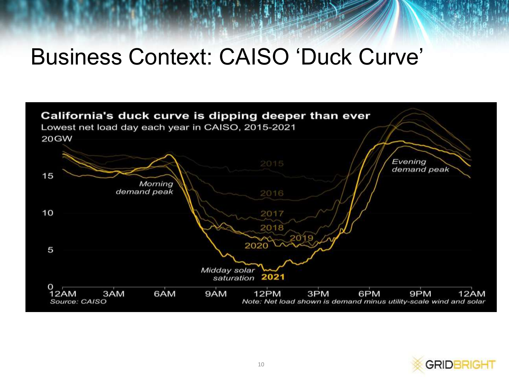## Business Context: CAISO 'Duck Curve'



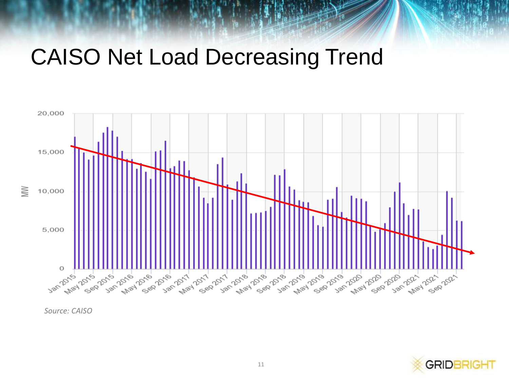## CAISO Net Load Decreasing Trend





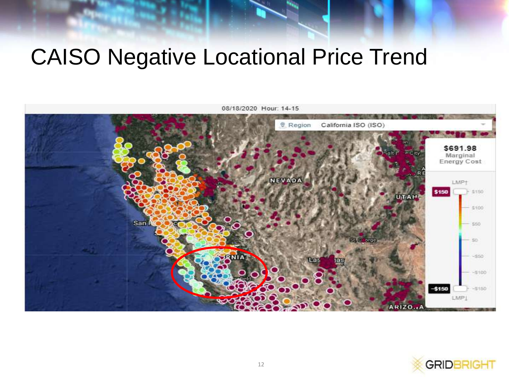## CAISO Negative Locational Price Trend



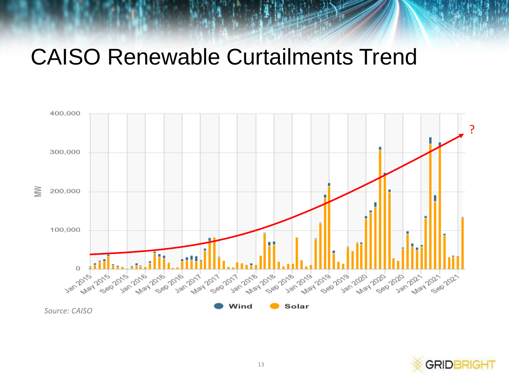## CAISO Renewable Curtailments Trend



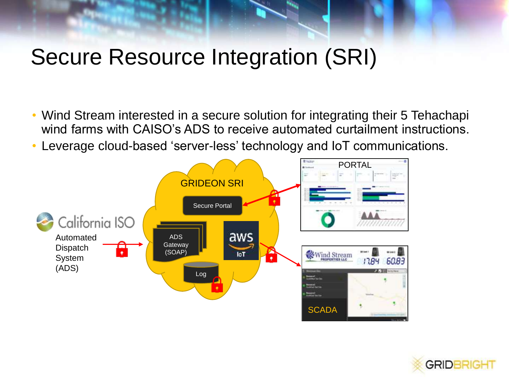## Secure Resource Integration (SRI)

- Wind Stream interested in a secure solution for integrating their 5 Tehachapi wind farms with CAISO's ADS to receive automated curtailment instructions.
- Leverage cloud-based 'server-less' technology and IoT communications.



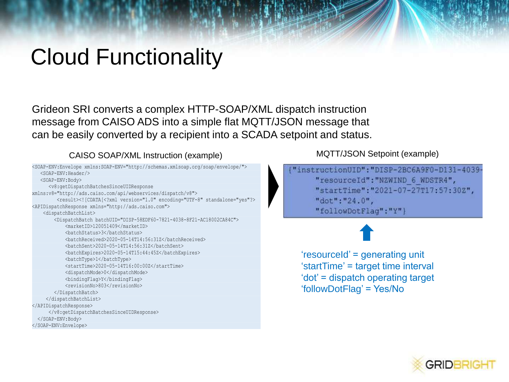## Cloud Functionality

Grideon SRI converts a complex HTTP-SOAP/XML dispatch instruction message from CAISO ADS into a simple flat MQTT/JSON message that can be easily converted by a recipient into a SCADA setpoint and status.

CAISO SOAP/XML Instruction (example) MQTT/JSON Setpoint (example)

| <soap-env:envelope xmlns:soap-env="http://schemas.xmlsoap.org/soap/envelope/"></soap-env:envelope> |
|----------------------------------------------------------------------------------------------------|
| <soap-env:header></soap-env:header>                                                                |
| <soap-env:body></soap-env:body>                                                                    |
| <v8:getdispatchbatchessinceuidresponse< td=""></v8:getdispatchbatchessinceuidresponse<>            |
| xmlns:v8="http://ads.caiso.com/api/webservices/dispatch/v8">                                       |
| <result>&lt;![CDATA[&lt;?xml version="1.0" encoding="UTF-8" standalone="yes"?&gt;</result>         |
| <apidispatchresponse xmlns="http://ads.caiso.com"></apidispatchresponse>                           |
| <dispatchbatchlist></dispatchbatchlist>                                                            |
| <dispatchbatch batchuid="DISP-58EDF60-7821-4038-8F21-AC18002CA84C"></dispatchbatch>                |
| <marketid>120051409</marketid>                                                                     |
| <batchstatus>3</batchstatus>                                                                       |
| <batchreceived>2020-05-14T14:56:31Z</batchreceived>                                                |
| <batchsent>2020-05-14T14:56:31Z</batchsent>                                                        |
| <batchexpires>2020-05-14T15:44:45Z</batchexpires>                                                  |
| <batchtype>1</batchtype>                                                                           |
| <starttime>2020-05-14T16:00:00Z</starttime>                                                        |
| <dispatchmode>0</dispatchmode>                                                                     |
| <bindingflag>Y</bindingflag>                                                                       |
| <revisionno>803</revisionno>                                                                       |
|                                                                                                    |
|                                                                                                    |
|                                                                                                    |
|                                                                                                    |
|                                                                                                    |
|                                                                                                    |
|                                                                                                    |

"instructionUID": "DISP-2BC6A9F0-D131-4039-"resourceId": "NZWIND 6 WDSTR4", "startTime": "2021-07-27T17:57:30Z", "dot": "24.0", "followDotFlaq":"Y"}

'resourceId' = generating unit 'startTime' = target time interval 'dot' = dispatch operating target 'followDotFlag' = Yes/No

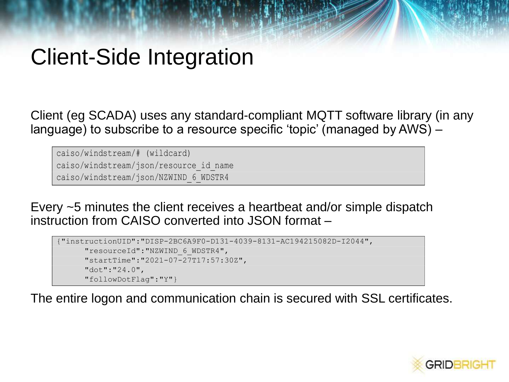## Client-Side Integration

Client (eg SCADA) uses any standard-compliant MQTT software library (in any language) to subscribe to a resource specific 'topic' (managed by AWS) –

caiso/windstream/# (wildcard) caiso/windstream/json/resource\_id\_name caiso/windstream/json/NZWIND\_6\_WDSTR4

Every ~5 minutes the client receives a heartbeat and/or simple dispatch instruction from CAISO converted into JSON format –

```
{"instructionUID":"DISP-2BC6A9F0-D131-4039-8131-AC194215082D-I2044",
"resourceId":"NZWIND_6_WDSTR4",
"startTime":"2021-07-27T17:57:30Z",
"dot":"24.0",
"followDotFlag":"Y"}
```
The entire logon and communication chain is secured with SSL certificates.

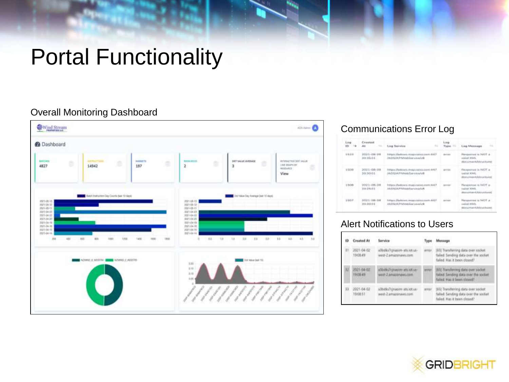## Portal Functionality

#### Overall Monitoring Dashboard



#### Communications Error Log

| Lines<br>$113-1$ | Crasset<br>AN INCOME THE                                | <b>Log Sarvice</b><br>$\rightarrow$                                                      |                         | Line Message<br>$\sim$                                                                                 |
|------------------|---------------------------------------------------------|------------------------------------------------------------------------------------------|-------------------------|--------------------------------------------------------------------------------------------------------|
| \$5100           | $1031 - 06110$<br>20.26.01                              | FORTUNIAL ETHNOLOGICAL PERMISSION IS \$140 FOR CR. 2-<br>ANDOAN Printed Samuarute        | den 6 post              | Hangestown in NATE at<br>minized 300-FL<br>Historyman Kharysthures                                     |
| 1,009            | 2021-08-09<br>30/30/04<br>ment a part of E. D. Colorado | FURSES (PARKHAVA, FRUSA ANDREA ANDRU 4 4 7)<br>ANDOIA PHANIES arrival A                  | antico<br><b>ANTIST</b> | Hauspreeuw in NOT at<br><b>VARIER MONEY</b><br>(Ennisymmetric Advancement)<br>a charles and containing |
| 1006<br>V 66     | 2021/08-08<br>2012/01/13                                | Hybrac Divellences creats established<br><b>Multiplay PEV Well-Terms PASSAGE</b>         | w                       | Haragement in NATT at<br><b>Marinet WRITE</b><br>(Associations) ALARGED AND                            |
| <b>LODE</b>      | 2021118-018<br>20.20.01                                 | Intriguist Dealerson, innings sinkless Juicele, 43435<br>AN EXHAVAT PERSONAL INFORMATION | 13.000                  | Harassered to NOT at<br>market Jelkill,<br>History Property Editor (Editor)                            |

#### Alert Notifications to Users

| ID  | <b>Created At</b>                       | Service                                                                     |       | Message                                                                                                       |
|-----|-----------------------------------------|-----------------------------------------------------------------------------|-------|---------------------------------------------------------------------------------------------------------------|
| П.  | 2021-04-02<br>190649                    | a30dks7cpussim-ats.lot.ue-<br>west-2 amazenews.com.                         | arror | (65) Transferring (84) a over socket<br>failed Sending data over the socket<br>falled. Has it been closed?    |
| 3.2 | 2021-04-02<br>19:08:49<br><b>GREENE</b> | aditions/representations.com<br>weid 2 Amazonawi.com<br><b>WELL-MANAGER</b> | etras | (65) Transferring data over socket.<br>failed: Sending data over the socket:<br>falled. Has it been this off- |
| 13  | 2021-04-02<br><b>TOORST</b>             | adbdks7gnagen.am.ict.ux-<br>West Zamazanevs.com                             | errar | 1652 Traniferring zlata over socket.<br>falled: Sending data over the socket<br>failed. Has it been closed?   |

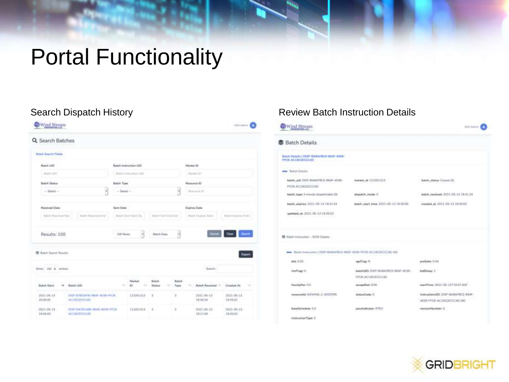## Portal Functionality

| Q Search Batches                                                                                                                                                                                                                                               |                           |                                  |                      |              |            |                             |                           |               |
|----------------------------------------------------------------------------------------------------------------------------------------------------------------------------------------------------------------------------------------------------------------|---------------------------|----------------------------------|----------------------|--------------|------------|-----------------------------|---------------------------|---------------|
| <b>Batch Search Fields</b><br>tera de la posta del control del control del control del control del control de la control de la control de la<br>Control de la control de la control de la control de la control de la control de la control de la control de l |                           |                                  |                      |              |            |                             |                           |               |
| Butch UID                                                                                                                                                                                                                                                      |                           | Batch Instruction UED            |                      |              | Market (O) |                             |                           |               |
| <b>Booster LAND</b>                                                                                                                                                                                                                                            |                           | Hotels (outstandbar) LEO         |                      |              |            | Informati (C)               |                           |               |
| <b>Bulch Status</b>                                                                                                                                                                                                                                            | <b>Butch Type:</b>        |                                  |                      |              |            | Resource (O)                |                           |               |
| 3<br>$-$ Selast $-$                                                                                                                                                                                                                                            | $\cdots$ Salaigh $\cdots$ |                                  |                      | H            |            | Nassania (c)                |                           |               |
| Received Date:                                                                                                                                                                                                                                                 | <b>Sent Date:</b>         |                                  |                      |              |            | Expires Date:               |                           |               |
| Saleh Naturenal Emil<br>Ratch Racewort Sher                                                                                                                                                                                                                    |                           | Hetch Dent Blatt Die             | Histori Sare Den Dun |              |            | Hottch Taxovice Block       | <b>Ratch Expose End C</b> |               |
| Results: 100                                                                                                                                                                                                                                                   | <b>LTST</b> Higgan        | ×                                | <b>Batch Oats</b>    | y            |            | Covert.                     | <b>Class</b>              | <b>Swarth</b> |
| <b>EE</b> Batch Search Results                                                                                                                                                                                                                                 |                           |                                  |                      |              |            | Dealer Story                |                           | Eighth        |
| Staw 100 \$ without                                                                                                                                                                                                                                            |                           |                                  |                      |              |            | Seattle.                    |                           |               |
| <b>Batch Start</b><br><b>Batch UID</b>                                                                                                                                                                                                                         | ۰.                        | Market<br>ago.<br><b>COLLEGE</b> | Batch<br>Status      | Batch<br>The |            | Batch Received - Created At |                           | $\sim$        |
| 2021-06-13<br>DEP 97800F40-964F-4118-FED-<br>30.00.00<br>AC15E3F0004D                                                                                                                                                                                          |                           | 121061313                        | ×                    | ä            |            | $2021 - 06 - 13$<br>1930.26 | 2021-05-13<br>$19-36.02$  |               |
| 3021-06-13<br>DIEP-O4CBCABD-964D-4038-FFCB-                                                                                                                                                                                                                    |                           | 121091313                        | 3                    | x            |            | 2021-05-13<br>19:17:49      | 2021-05-13<br>19,20.03    |               |

#### Search Dispatch History **Review Batch Instruction Details**



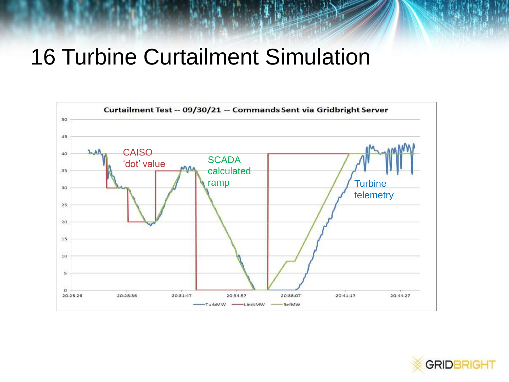## 16 Turbine Curtailment Simulation



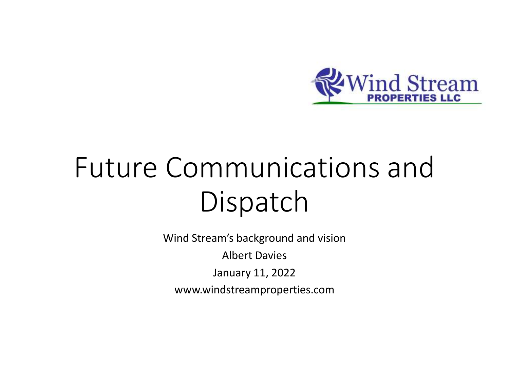

## Future Communications and Dispatch

Wind Stream's background and vision Albert Davies January 11, 2022 www.windstreamproperties.com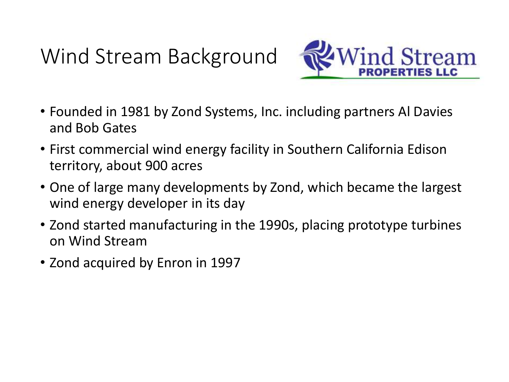## Wind Stream Background



- Founded in 1981 by Zond Systems, Inc. including partners Al Davies and Bob Gates
- First commercial wind energy facility in Southern California Edison territory, about 900 acres
- One of large many developments by Zond, which became the largest wind energy developer in its day
- Zond started manufacturing in the 1990s, placing prototype turbines on Wind Stream
- Zond acquired by Enron in 1997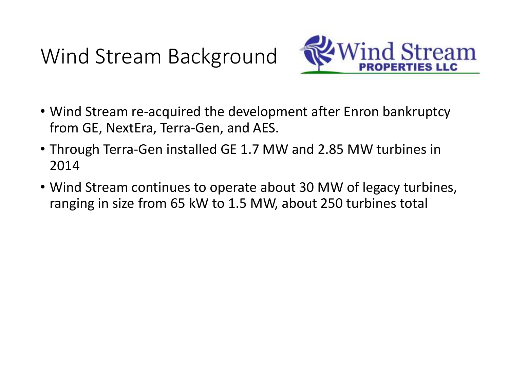Wind Stream Background



- Wind Stream re-acquired the development after Enron bankruptcy from GE, NextEra, Terra-Gen, and AES.
- Through Terra-Gen installed GE 1.7 MW and 2.85 MW turbines in 2014
- Wind Stream continues to operate about 30 MW of legacy turbines, ranging in size from 65 kW to 1.5 MW, about 250 turbines total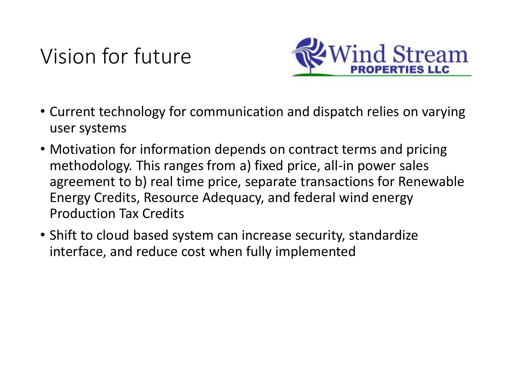## Vision for future



- Current technology for communication and dispatch relies on varying user systems
- Motivation for information depends on contract terms and pricing methodology. This ranges from a) fixed price, all-in power sales agreement to b) real time price, separate transactions for Renewable Energy Credits, Resource Adequacy, and federal wind energy Production Tax Credits
- Shift to cloud based system can increase security, standardize interface, and reduce cost when fully implemented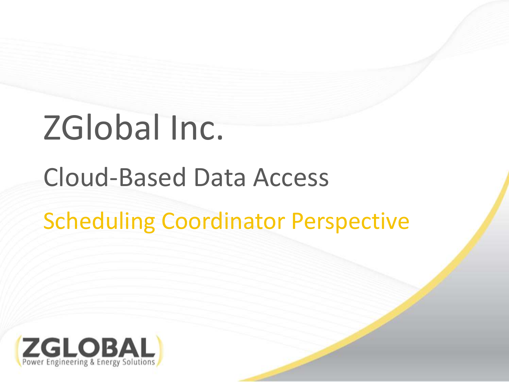# ZGlobal Inc.

## Cloud-Based Data Access

## Scheduling Coordinator Perspective

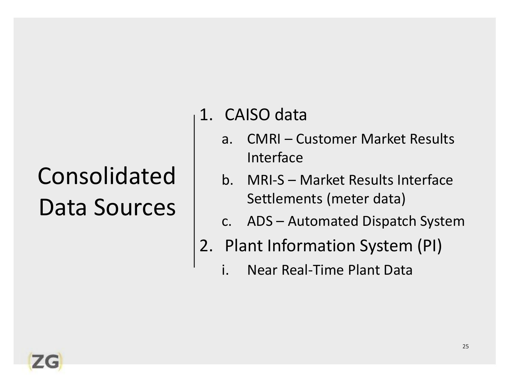## Consolidated Data Sources

- 1. CAISO data
	- a. CMRI Customer Market Results Interface
	- b. MRI-S Market Results Interface Settlements (meter data)
	- c. ADS Automated Dispatch System
- 2. Plant Information System (PI)
	- Near Real-Time Plant Data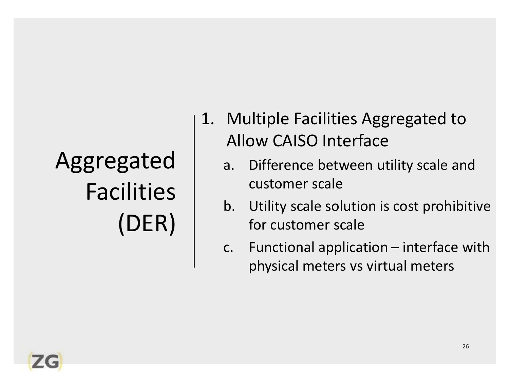## Aggregated Facilities (DER)

- 1. Multiple Facilities Aggregated to Allow CAISO Interface
	- a. Difference between utility scale and customer scale
	- b. Utility scale solution is cost prohibitive for customer scale
	- c. Functional application interface with physical meters vs virtual meters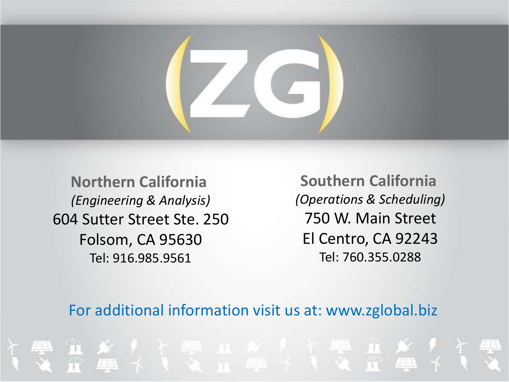**Northern California**  *(Engineering & Analysis)* 604 Sutter Street Ste. 250 Folsom, CA 95630 Tel: 916.985.9561

**Southern California**  *(Operations & Scheduling)* 750 W. Main Street El Centro, CA 92243 Tel: 760.355.0288

#### For additional information visit us at: www.zglobal.biz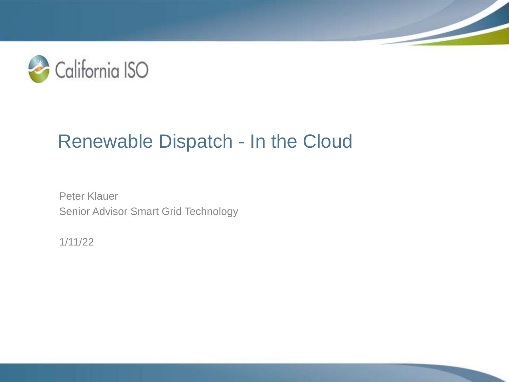

## Renewable Dispatch - In the Cloud

Peter Klauer Senior Advisor Smart Grid Technology

1/11/22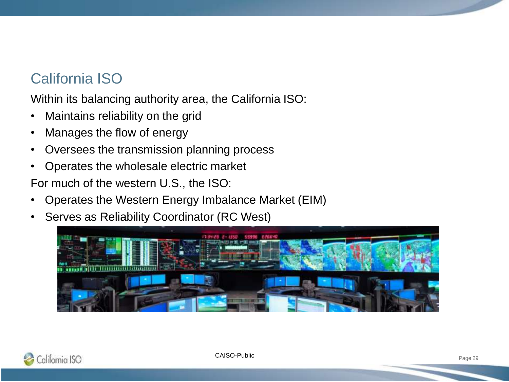### California ISO

Within its balancing authority area, the California ISO:

- Maintains reliability on the grid
- Manages the flow of energy
- Oversees the transmission planning process
- Operates the wholesale electric market

For much of the western U.S., the ISO:

- Operates the Western Energy Imbalance Market (EIM)
- Serves as Reliability Coordinator (RC West)



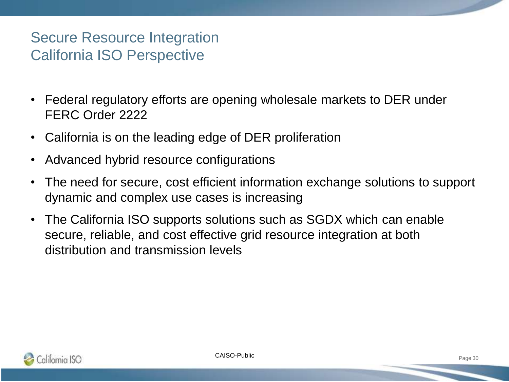#### Secure Resource Integration California ISO Perspective

- Federal regulatory efforts are opening wholesale markets to DER under FERC Order 2222
- California is on the leading edge of DER proliferation
- Advanced hybrid resource configurations
- The need for secure, cost efficient information exchange solutions to support dynamic and complex use cases is increasing
- The California ISO supports solutions such as SGDX which can enable secure, reliable, and cost effective grid resource integration at both distribution and transmission levels